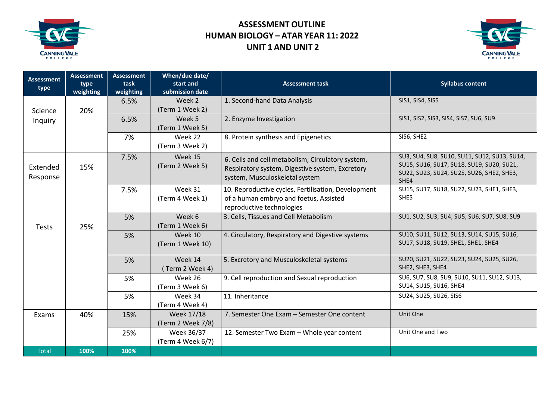

## **ASSESSMENT OUTLINE HUMAN BIOLOGY – ATAR YEAR 11: 2022 UNIT 1 AND UNIT 2**



| <b>Assessment</b> | <b>Assessment</b> | <b>Assessment</b> | When/due date/    |                                                     |                                                   |
|-------------------|-------------------|-------------------|-------------------|-----------------------------------------------------|---------------------------------------------------|
| type              | type              | task              | start and         | <b>Assessment task</b>                              | <b>Syllabus content</b>                           |
|                   | weighting         | weighting         | submission date   |                                                     |                                                   |
|                   |                   | 6.5%              | Week 2            | 1. Second-hand Data Analysis                        | SIS1, SIS4, SIS5                                  |
| Science           | 20%               |                   | (Term 1 Week 2)   |                                                     |                                                   |
| Inquiry           |                   | 6.5%              | Week 5            | 2. Enzyme Investigation                             | SIS1, SIS2, SIS3, SIS4, SIS7, SU6, SU9            |
|                   |                   |                   | (Term 1 Week 5)   |                                                     |                                                   |
|                   |                   | 7%                | Week 22           | 8. Protein synthesis and Epigenetics                | SIS6, SHE2                                        |
|                   |                   |                   | (Term 3 Week 2)   |                                                     |                                                   |
|                   |                   | 7.5%              | Week 15           | 6. Cells and cell metabolism, Circulatory system,   | SU3, SU4, SU8, SU10, SU11, SU12, SU13, SU14,      |
| Extended          | 15%               |                   | (Term 2 Week 5)   | Respiratory system, Digestive system, Excretory     | SU15, SU16, SU17, SU18, SU19, SU20, SU21,         |
| Response          |                   |                   |                   | system, Musculoskeletal system                      | SU22, SU23, SU24, SU25, SU26, SHE2, SHE3,<br>SHE4 |
|                   |                   | 7.5%              | Week 31           | 10. Reproductive cycles, Fertilisation, Development | SU15, SU17, SU18, SU22, SU23, SHE1, SHE3,         |
|                   |                   |                   | (Term 4 Week 1)   | of a human embryo and foetus, Assisted              | SHE5                                              |
|                   |                   |                   |                   | reproductive technologies                           |                                                   |
|                   |                   | 5%                | Week 6            | 3. Cells, Tissues and Cell Metabolism               | SU1, SU2, SU3, SU4, SU5, SU6, SU7, SU8, SU9       |
| Tests             | 25%               |                   | (Term 1 Week 6)   |                                                     |                                                   |
|                   |                   | 5%                | Week 10           | 4. Circulatory, Respiratory and Digestive systems   | SU10, SU11, SU12, SU13, SU14, SU15, SU16,         |
|                   |                   |                   | (Term 1 Week 10)  |                                                     | SU17, SU18, SU19, SHE1, SHE1, SHE4                |
|                   |                   | 5%                | Week 14           | 5. Excretory and Musculoskeletal systems            | SU20, SU21, SU22, SU23, SU24, SU25, SU26,         |
|                   |                   |                   | (Term 2 Week 4)   |                                                     | SHE2, SHE3, SHE4                                  |
|                   |                   | 5%                | Week 26           | 9. Cell reproduction and Sexual reproduction        | SU6, SU7, SU8, SU9, SU10, SU11, SU12, SU13,       |
|                   |                   |                   | (Term 3 Week 6)   |                                                     | SU14, SU15, SU16, SHE4                            |
|                   |                   | 5%                | Week 34           | 11. Inheritance                                     | SU24, SU25, SU26, SIS6                            |
|                   |                   |                   | (Term 4 Week 4)   |                                                     |                                                   |
| Exams             | 40%               | 15%               | Week 17/18        | 7. Semester One Exam - Semester One content         | Unit One                                          |
|                   |                   |                   | (Term 2 Week 7/8) |                                                     |                                                   |
|                   |                   | 25%               | Week 36/37        | 12. Semester Two Exam - Whole year content          | Unit One and Two                                  |
|                   |                   |                   | (Term 4 Week 6/7) |                                                     |                                                   |
| Total             | 100%              | 100%              |                   |                                                     |                                                   |